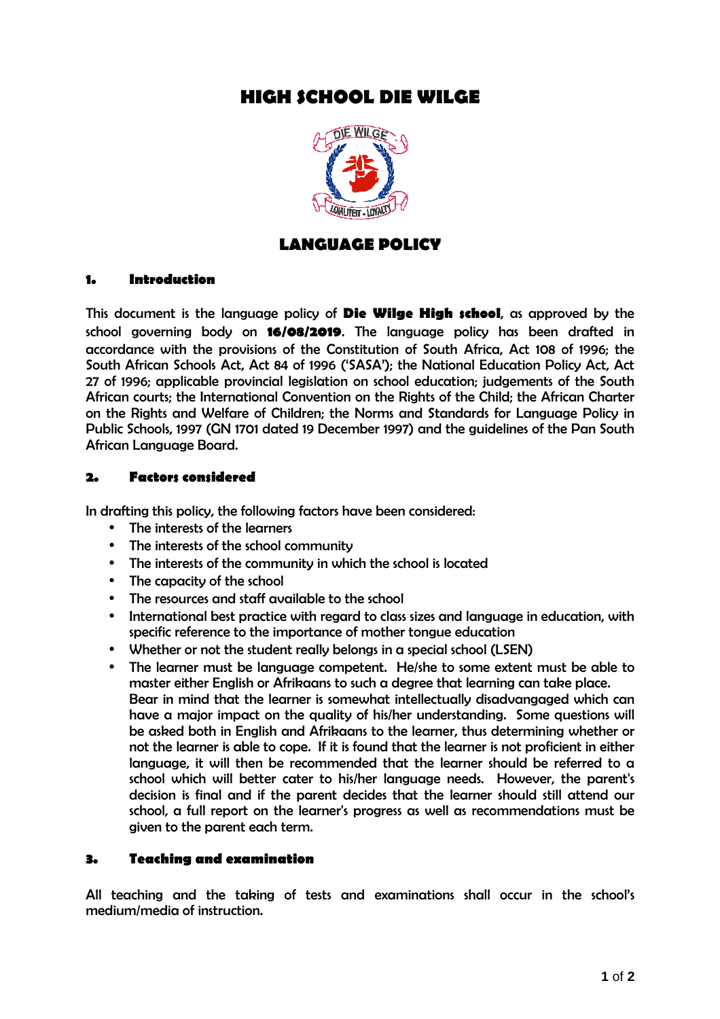# **HIGH SCHOOL DIE WILGE**



## **LANGUAGE POLICY**

#### **1. Introduction**

*This document is the language policy of* **Die Wilge High school***, as approved by the school governing body on* **16/08/2019***. The language policy has been drafted in accordance with the provisions of the Constitution of South Africa, Act 108 of 1996; the South African Schools Act, Act 84 of 1996 ('SASA'); the National Education Policy Act, Act 27 of 1996; applicable provincial legislation on school education; judgements of the South African courts; the International Convention on the Rights of the Child; the African Charter on the Rights and Welfare of Children; the Norms and Standards for Language Policy in Public Schools, 1997 (GN 1701 dated 19 December 1997) and the guidelines of the Pan South African Language Board.* 

#### **2. Factors considered**

*In drafting this policy, the following factors have been considered:* 

- *The interests of the learners*
- *The interests of the school community*
- *The interests of the community in which the school is located*
- *The capacity of the school*
- *The resources and staff available to the school*
- *International best practice with regard to class sizes and language in education, with specific reference to the importance of mother tongue education*
- *Whether or not the student really belongs in a special school (LSEN)*
- *The learner must be language competent. He/she to some extent must be able to master either English or Afrikaans to such a degree that learning can take place. Bear in mind that the learner is somewhat intellectually disadvangaged which can*  have a major impact on the quality of his/her understanding. Some questions will *be asked both in English and Afrikaans to the learner, thus determining whether or not the learner is able to cope. If it is found that the learner is not proficient in either*  language, it will then be recommended that the learner should be referred to a *school which will better cater to his/her language needs. However, the parent's decision is final and if the parent decides that the learner should still attend our school, a full report on the learner's progress as well as recommendations must be given to the parent each term.*

#### **3. Teaching and examination**

*All teaching and the taking of tests and examinations shall occur in the school's medium/media of instruction.*